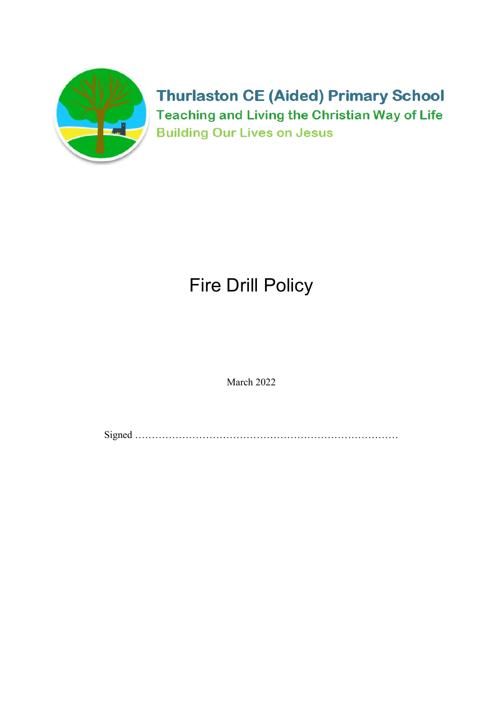

**Thurlaston CE (Aided) Primary School Teaching and Living the Christian Way of Life Building Our Lives on Jesus** 

# Fire Drill Policy

March 2022

Signed ……………………………………………………………………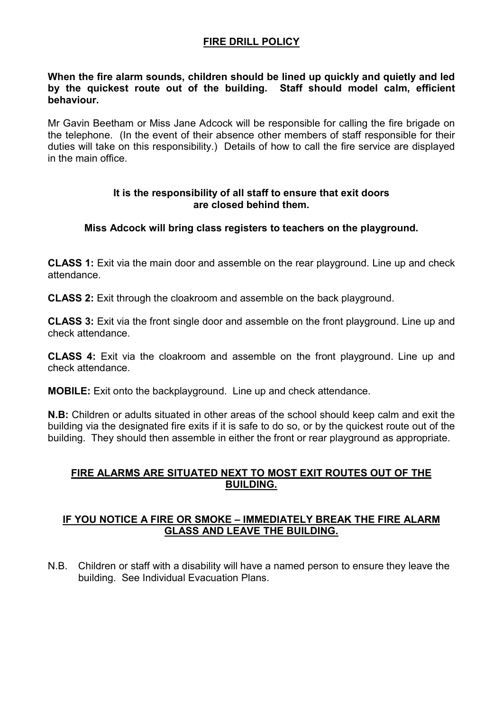### FIRE DRILL POLICY

#### When the fire alarm sounds, children should be lined up quickly and quietly and led by the quickest route out of the building. Staff should model calm, efficient behaviour.

Mr Gavin Beetham or Miss Jane Adcock will be responsible for calling the fire brigade on the telephone. (In the event of their absence other members of staff responsible for their duties will take on this responsibility.) Details of how to call the fire service are displayed in the main office.

#### It is the responsibility of all staff to ensure that exit doors are closed behind them.

#### Miss Adcock will bring class registers to teachers on the playground.

CLASS 1: Exit via the main door and assemble on the rear playground. Line up and check attendance.

CLASS 2: Exit through the cloakroom and assemble on the back playground.

CLASS 3: Exit via the front single door and assemble on the front playground. Line up and check attendance.

CLASS 4: Exit via the cloakroom and assemble on the front playground. Line up and check attendance.

MOBILE: Exit onto the backplayground. Line up and check attendance.

N.B: Children or adults situated in other areas of the school should keep calm and exit the building via the designated fire exits if it is safe to do so, or by the quickest route out of the building. They should then assemble in either the front or rear playground as appropriate.

### FIRE ALARMS ARE SITUATED NEXT TO MOST EXIT ROUTES OUT OF THE BUILDING.

#### IF YOU NOTICE A FIRE OR SMOKE – IMMEDIATELY BREAK THE FIRE ALARM GLASS AND LEAVE THE BUILDING.

N.B. Children or staff with a disability will have a named person to ensure they leave the building. See Individual Evacuation Plans.